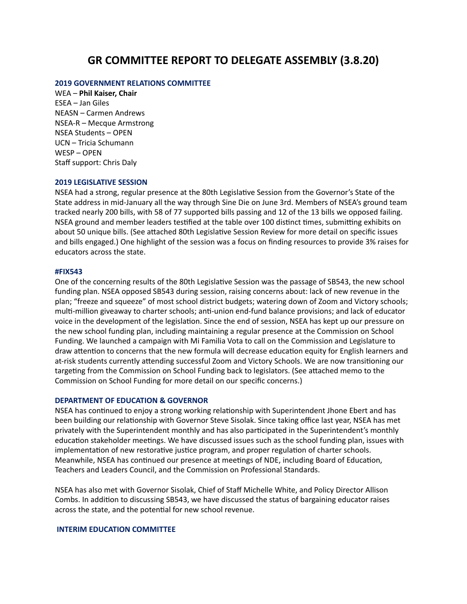# **GR COMMITTEE REPORT TO DELEGATE ASSEMBLY (3.8.20)**

### **2019 GOVERNMENT RELATIONS COMMITTEE**

WEA – **Phil Kaiser, Chair**  ESEA – Jan Giles NEASN – Carmen Andrews NSEA-R – Mecque Armstrong NSEA Students – OPEN UCN – Tricia Schumann WESP – OPEN Staff support: Chris Daly

#### **2019 LEGISLATIVE SESSION**

NSEA had a strong, regular presence at the 80th Legislative Session from the Governor's State of the State address in mid-January all the way through Sine Die on June 3rd. Members of NSEA's ground team tracked nearly 200 bills, with 58 of 77 supported bills passing and 12 of the 13 bills we opposed failing. NSEA ground and member leaders testified at the table over 100 distinct times, submitting exhibits on about 50 unique bills. (See attached 80th Legislative Session Review for more detail on specific issues and bills engaged.) One highlight of the session was a focus on finding resources to provide 3% raises for educators across the state.

#### **#FIX543**

One of the concerning results of the 80th Legislative Session was the passage of SB543, the new school funding plan. NSEA opposed SB543 during session, raising concerns about: lack of new revenue in the plan; "freeze and squeeze" of most school district budgets; watering down of Zoom and Victory schools; multi-million giveaway to charter schools; anti-union end-fund balance provisions; and lack of educator voice in the development of the legislation. Since the end of session, NSEA has kept up our pressure on the new school funding plan, including maintaining a regular presence at the Commission on School Funding. We launched a campaign with Mi Familia Vota to call on the Commission and Legislature to draw attention to concerns that the new formula will decrease education equity for English learners and at-risk students currently attending successful Zoom and Victory Schools. We are now transitioning our targeting from the Commission on School Funding back to legislators. (See attached memo to the Commission on School Funding for more detail on our specific concerns.)

#### **DEPARTMENT OF EDUCATION & GOVERNOR**

NSEA has continued to enjoy a strong working relationship with Superintendent Jhone Ebert and has been building our relationship with Governor Steve Sisolak. Since taking office last year, NSEA has met privately with the Superintendent monthly and has also participated in the Superintendent's monthly education stakeholder meetings. We have discussed issues such as the school funding plan, issues with implementation of new restorative justice program, and proper regulation of charter schools. Meanwhile, NSEA has continued our presence at meetings of NDE, including Board of Education, Teachers and Leaders Council, and the Commission on Professional Standards.

NSEA has also met with Governor Sisolak, Chief of Staff Michelle White, and Policy Director Allison Combs. In addition to discussing SB543, we have discussed the status of bargaining educator raises across the state, and the potential for new school revenue.

#### **INTERIM EDUCATION COMMITTEE**